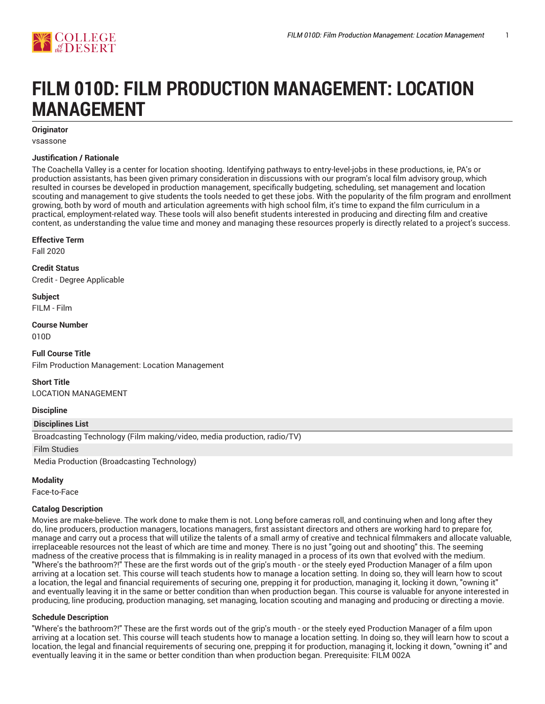

# **FILM 010D: FILM PRODUCTION MANAGEMENT: LOCATION MANAGEMENT**

# **Originator**

vsassone

#### **Justification / Rationale**

The Coachella Valley is a center for location shooting. Identifying pathways to entry-level-jobs in these productions, ie, PA's or production assistants, has been given primary consideration in discussions with our program's local film advisory group, which resulted in courses be developed in production management, specifically budgeting, scheduling, set management and location scouting and management to give students the tools needed to get these jobs. With the popularity of the film program and enrollment growing, both by word of mouth and articulation agreements with high school film, it's time to expand the film curriculum in a practical, employment-related way. These tools will also benefit students interested in producing and directing film and creative content, as understanding the value time and money and managing these resources properly is directly related to a project's success.

#### **Effective Term**

Fall 2020

**Credit Status** Credit - Degree Applicable

**Subject** FILM - Film

**Course Number** 010D

**Full Course Title** Film Production Management: Location Management

**Short Title** LOCATION MANAGEMENT

**Discipline**

**Disciplines List**

Broadcasting Technology (Film making/video, media production, radio/TV)

Film Studies

Media Production (Broadcasting Technology)

# **Modality**

Face-to-Face

# **Catalog Description**

Movies are make-believe. The work done to make them is not. Long before cameras roll, and continuing when and long after they do, line producers, production managers, locations managers, first assistant directors and others are working hard to prepare for, manage and carry out a process that will utilize the talents of a small army of creative and technical filmmakers and allocate valuable, irreplaceable resources not the least of which are time and money. There is no just "going out and shooting" this. The seeming madness of the creative process that is filmmaking is in reality managed in a process of its own that evolved with the medium. "Where's the bathroom?!" These are the first words out of the grip's mouth - or the steely eyed Production Manager of a film upon arriving at a location set. This course will teach students how to manage a location setting. In doing so, they will learn how to scout a location, the legal and financial requirements of securing one, prepping it for production, managing it, locking it down, "owning it" and eventually leaving it in the same or better condition than when production began. This course is valuable for anyone interested in producing, line producing, production managing, set managing, location scouting and managing and producing or directing a movie.

# **Schedule Description**

"Where's the bathroom?!" These are the first words out of the grip's mouth - or the steely eyed Production Manager of a film upon arriving at a location set. This course will teach students how to manage a location setting. In doing so, they will learn how to scout a location, the legal and financial requirements of securing one, prepping it for production, managing it, locking it down, "owning it" and eventually leaving it in the same or better condition than when production began. Prerequisite: FILM 002A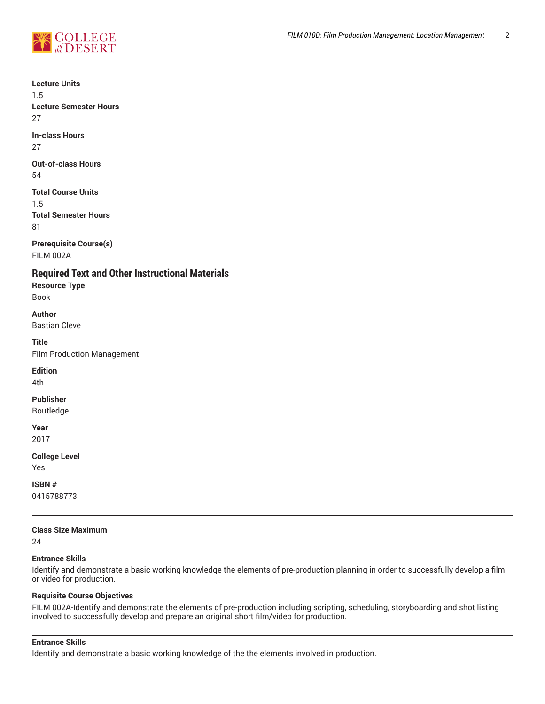

**Lecture Units**

1.5 **Lecture Semester Hours** 27

**In-class Hours** 27

**Out-of-class Hours** 54

**Total Course Units** 1.5 **Total Semester Hours** 81

**Prerequisite Course(s)** FILM 002A

**Required Text and Other Instructional Materials**

**Resource Type** Book

**Author** Bastian Cleve

**Title** Film Production Management

**Edition**

4th

**Publisher**

Routledge

**Year** 2017

**College Level** Yes

**ISBN #**

0415788773

# **Class Size Maximum**

24

# **Entrance Skills**

Identify and demonstrate a basic working knowledge the elements of pre-production planning in order to successfully develop a film or video for production.

# **Requisite Course Objectives**

FILM 002A-Identify and demonstrate the elements of pre-production including scripting, scheduling, storyboarding and shot listing involved to successfully develop and prepare an original short film/video for production.

# **Entrance Skills**

Identify and demonstrate a basic working knowledge of the the elements involved in production.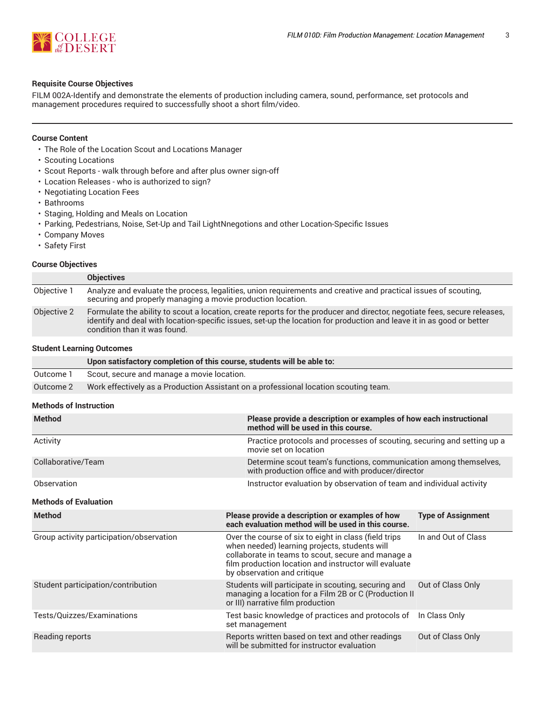

### **Requisite Course Objectives**

FILM 002A-Identify and demonstrate the elements of production including camera, sound, performance, set protocols and management procedures required to successfully shoot a short film/video.

#### **Course Content**

- The Role of the Location Scout and Locations Manager
- Scouting Locations
- Scout Reports walk through before and after plus owner sign-off
- Location Releases who is authorized to sign?
- Negotiating Location Fees
- Bathrooms
- Staging, Holding and Meals on Location
- Parking, Pedestrians, Noise, Set-Up and Tail LightNnegotions and other Location-Specific Issues
- Company Moves
- Safety First

#### **Course Objectives**

|             | <b>Objectives</b>                                                                                                                                                                                                                                                                  |
|-------------|------------------------------------------------------------------------------------------------------------------------------------------------------------------------------------------------------------------------------------------------------------------------------------|
| Objective 1 | Analyze and evaluate the process, legalities, union requirements and creative and practical issues of scouting,<br>securing and properly managing a movie production location.                                                                                                     |
| Objective 2 | Formulate the ability to scout a location, create reports for the producer and director, negotiate fees, secure releases,<br>identify and deal with location-specific issues, set-up the location for production and leave it in as good or better<br>condition than it was found. |

#### **Student Learning Outcomes**

|           | Upon satisfactory completion of this course, students will be able to:               |
|-----------|--------------------------------------------------------------------------------------|
| Outcome 1 | Scout, secure and manage a movie location.                                           |
| Outcome 2 | Work effectively as a Production Assistant on a professional location scouting team. |

#### **Methods of Instruction**

| <b>Method</b>                            | method will be used in this course.                                                                                                                                                                                                                  | Please provide a description or examples of how each instructional                                                     |  |  |
|------------------------------------------|------------------------------------------------------------------------------------------------------------------------------------------------------------------------------------------------------------------------------------------------------|------------------------------------------------------------------------------------------------------------------------|--|--|
| Activity                                 | movie set on location                                                                                                                                                                                                                                | Practice protocols and processes of scouting, securing and setting up a                                                |  |  |
| Collaborative/Team                       |                                                                                                                                                                                                                                                      | Determine scout team's functions, communication among themselves,<br>with production office and with producer/director |  |  |
| Observation                              | Instructor evaluation by observation of team and individual activity                                                                                                                                                                                 |                                                                                                                        |  |  |
| <b>Methods of Evaluation</b>             |                                                                                                                                                                                                                                                      |                                                                                                                        |  |  |
| <b>Method</b>                            | Please provide a description or examples of how<br>each evaluation method will be used in this course.                                                                                                                                               | <b>Type of Assignment</b>                                                                                              |  |  |
| Group activity participation/observation | Over the course of six to eight in class (field trips<br>when needed) learning projects, students will<br>collaborate in teams to scout, secure and manage a<br>film production location and instructor will evaluate<br>by observation and critique | In and Out of Class                                                                                                    |  |  |
| Student participation/contribution       | Students will participate in scouting, securing and<br>managing a location for a Film 2B or C (Production II<br>or III) narrative film production                                                                                                    | Out of Class Only                                                                                                      |  |  |
| Tests/Quizzes/Examinations               | Test basic knowledge of practices and protocols of<br>set management                                                                                                                                                                                 | In Class Only                                                                                                          |  |  |
| Reading reports                          | Reports written based on text and other readings<br>will be submitted for instructor evaluation                                                                                                                                                      | Out of Class Only                                                                                                      |  |  |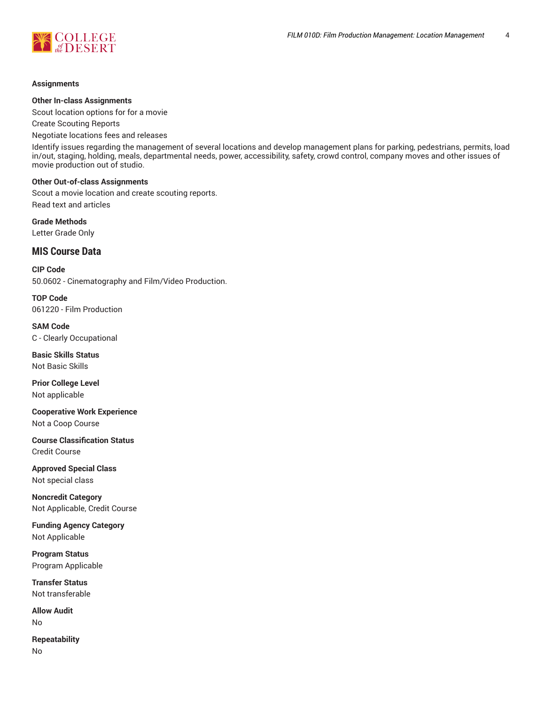

#### **Assignments**

#### **Other In-class Assignments**

Scout location options for for a movie

Create Scouting Reports

Negotiate locations fees and releases

Identify issues regarding the management of several locations and develop management plans for parking, pedestrians, permits, load in/out, staging, holding, meals, departmental needs, power, accessibility, safety, crowd control, company moves and other issues of movie production out of studio.

#### **Other Out-of-class Assignments**

Scout a movie location and create scouting reports. Read text and articles

**Grade Methods** Letter Grade Only

# **MIS Course Data**

**CIP Code** 50.0602 - Cinematography and Film/Video Production.

**TOP Code** 061220 - Film Production

**SAM Code** C - Clearly Occupational

**Basic Skills Status** Not Basic Skills

**Prior College Level** Not applicable

**Cooperative Work Experience** Not a Coop Course

**Course Classification Status** Credit Course

**Approved Special Class** Not special class

**Noncredit Category** Not Applicable, Credit Course

**Funding Agency Category** Not Applicable

**Program Status** Program Applicable

**Transfer Status** Not transferable

**Allow Audit** No

**Repeatability** No